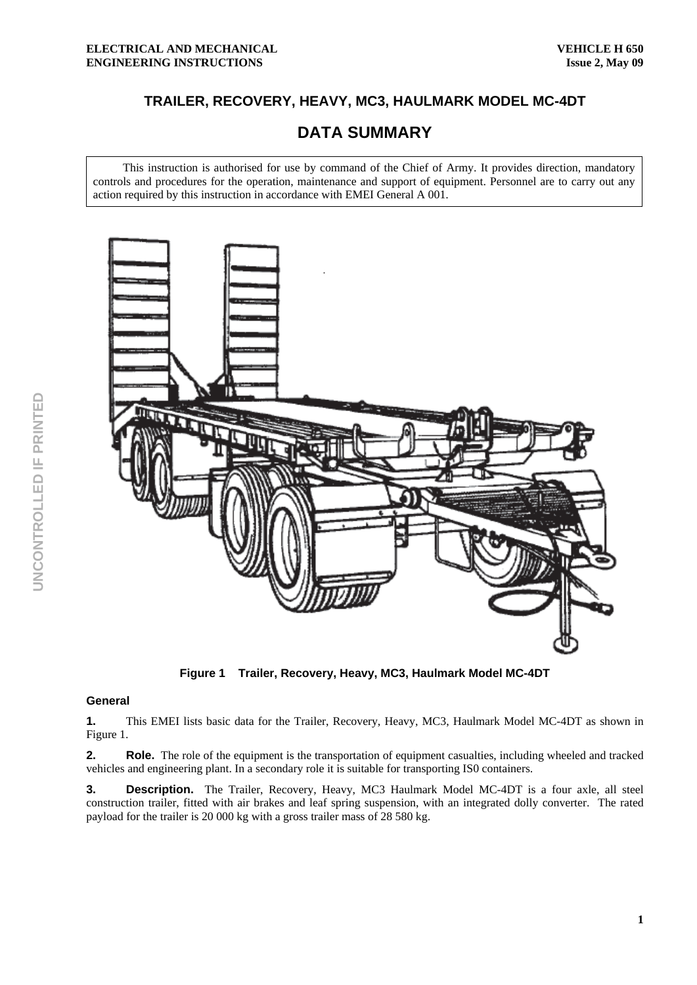## **TRAILER, RECOVERY, HEAVY, MC3, HAULMARK MODEL MC-4DT**

# **DATA SUMMARY**

This instruction is authorised for use by command of the Chief of Army. It provides direction, mandatory controls and procedures for the operation, maintenance and support of equipment. Personnel are to carry out any action required by this instruction in accordance with EMEI General A 001.



**Figure 1 Trailer, Recovery, Heavy, MC3, Haulmark Model MC-4DT** 

#### **General**

**1.** This EMEI lists basic data for the Trailer, Recovery, Heavy, MC3, Haulmark Model MC-4DT as shown in Figure 1.

**2.** Role. The role of the equipment is the transportation of equipment casualties, including wheeled and tracked vehicles and engineering plant. In a secondary role it is suitable for transporting IS0 containers.

**3. Description.** The Trailer, Recovery, Heavy, MC3 Haulmark Model MC-4DT is a four axle, all steel construction trailer, fitted with air brakes and leaf spring suspension, with an integrated dolly converter. The rated payload for the trailer is 20 000 kg with a gross trailer mass of 28 580 kg.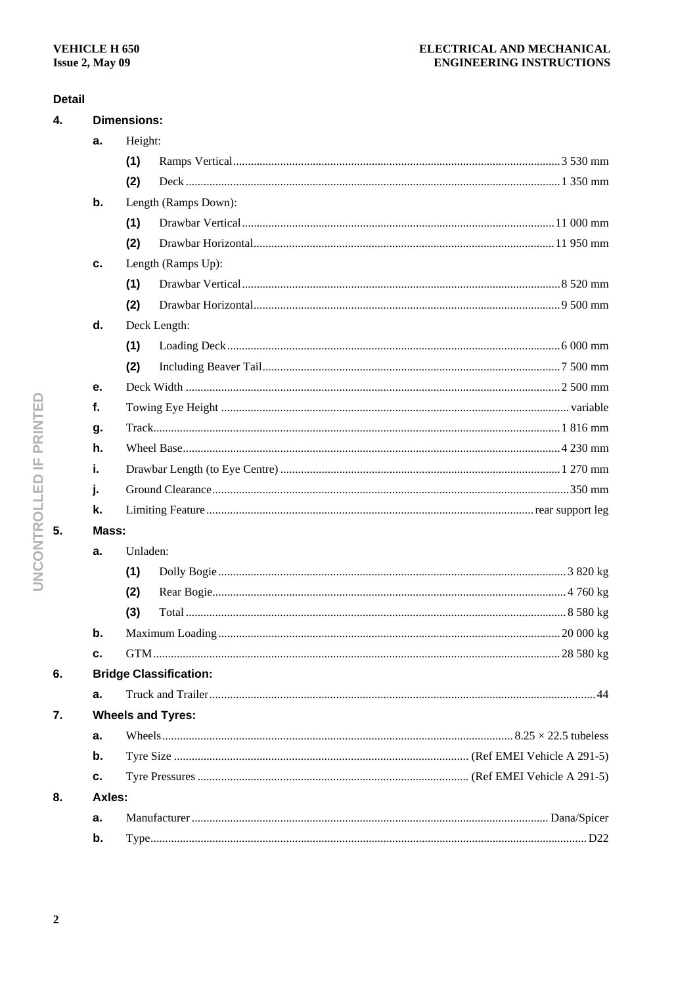#### **Detail**

| 4. | <b>Dimensions:</b>            |                      |                    |  |  |  |  |  |
|----|-------------------------------|----------------------|--------------------|--|--|--|--|--|
|    | a.                            |                      | Height:            |  |  |  |  |  |
|    |                               | (1)                  |                    |  |  |  |  |  |
|    |                               | (2)                  |                    |  |  |  |  |  |
|    | b.                            | Length (Ramps Down): |                    |  |  |  |  |  |
|    |                               | (1)                  |                    |  |  |  |  |  |
|    |                               | (2)                  |                    |  |  |  |  |  |
|    | c.                            |                      | Length (Ramps Up): |  |  |  |  |  |
|    |                               | (1)                  |                    |  |  |  |  |  |
|    |                               | (2)                  |                    |  |  |  |  |  |
|    | d.                            | Deck Length:         |                    |  |  |  |  |  |
|    |                               | (1)                  |                    |  |  |  |  |  |
|    |                               | (2)                  |                    |  |  |  |  |  |
|    | е.                            |                      |                    |  |  |  |  |  |
|    | f.                            |                      |                    |  |  |  |  |  |
|    | g.                            |                      |                    |  |  |  |  |  |
|    | h.                            |                      |                    |  |  |  |  |  |
|    | i.                            |                      |                    |  |  |  |  |  |
|    | j.                            |                      |                    |  |  |  |  |  |
|    | k.                            |                      |                    |  |  |  |  |  |
| 5. | Mass:                         |                      |                    |  |  |  |  |  |
|    | a.                            | Unladen:             |                    |  |  |  |  |  |
|    |                               | (1)                  |                    |  |  |  |  |  |
|    |                               | (2)                  |                    |  |  |  |  |  |
|    |                               | (3)                  |                    |  |  |  |  |  |
|    | $\mathbf b$ .                 |                      |                    |  |  |  |  |  |
|    | c.                            |                      |                    |  |  |  |  |  |
| 6. | <b>Bridge Classification:</b> |                      |                    |  |  |  |  |  |
|    | a.                            |                      |                    |  |  |  |  |  |
| 7. | <b>Wheels and Tyres:</b>      |                      |                    |  |  |  |  |  |
|    | a.                            |                      |                    |  |  |  |  |  |
|    | b.                            |                      |                    |  |  |  |  |  |
|    | с.                            |                      |                    |  |  |  |  |  |
| 8. | Axles:                        |                      |                    |  |  |  |  |  |
|    | а.                            |                      |                    |  |  |  |  |  |
|    | b.                            |                      |                    |  |  |  |  |  |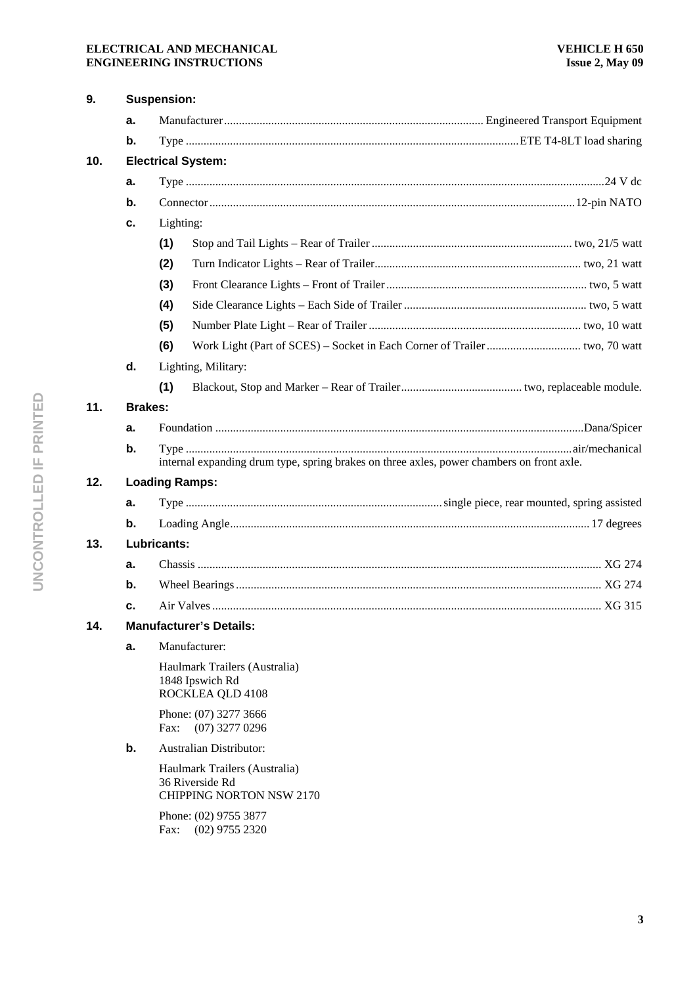#### **ELECTRICAL AND MECHANICAL ENGINEERING INSTRUCTIONS**

| 9.  | <b>Suspension:</b>        |                                                                                           |                                                                                     |  |  |  |  |  |
|-----|---------------------------|-------------------------------------------------------------------------------------------|-------------------------------------------------------------------------------------|--|--|--|--|--|
|     | a.                        |                                                                                           |                                                                                     |  |  |  |  |  |
|     | b.                        |                                                                                           |                                                                                     |  |  |  |  |  |
| 10. | <b>Electrical System:</b> |                                                                                           |                                                                                     |  |  |  |  |  |
|     | a.                        |                                                                                           |                                                                                     |  |  |  |  |  |
|     | b.                        |                                                                                           |                                                                                     |  |  |  |  |  |
|     | с.                        |                                                                                           | Lighting:                                                                           |  |  |  |  |  |
|     |                           | (1)                                                                                       |                                                                                     |  |  |  |  |  |
|     |                           | (2)                                                                                       |                                                                                     |  |  |  |  |  |
|     |                           | (3)                                                                                       |                                                                                     |  |  |  |  |  |
|     |                           | (4)                                                                                       |                                                                                     |  |  |  |  |  |
|     |                           | (5)                                                                                       |                                                                                     |  |  |  |  |  |
|     |                           | (6)                                                                                       |                                                                                     |  |  |  |  |  |
|     | d.                        |                                                                                           | Lighting, Military:                                                                 |  |  |  |  |  |
|     |                           | (1)                                                                                       |                                                                                     |  |  |  |  |  |
| 11. |                           | <b>Brakes:</b>                                                                            |                                                                                     |  |  |  |  |  |
|     | a.                        |                                                                                           |                                                                                     |  |  |  |  |  |
|     | b.                        | internal expanding drum type, spring brakes on three axles, power chambers on front axle. |                                                                                     |  |  |  |  |  |
| 12. |                           |                                                                                           | <b>Loading Ramps:</b>                                                               |  |  |  |  |  |
|     | a.                        |                                                                                           |                                                                                     |  |  |  |  |  |
|     | b.                        |                                                                                           |                                                                                     |  |  |  |  |  |
| 13. |                           | Lubricants:                                                                               |                                                                                     |  |  |  |  |  |
|     | a.                        |                                                                                           |                                                                                     |  |  |  |  |  |
|     | b.                        |                                                                                           |                                                                                     |  |  |  |  |  |
|     | c.                        |                                                                                           |                                                                                     |  |  |  |  |  |
| 14. |                           | <b>Manufacturer's Details:</b>                                                            |                                                                                     |  |  |  |  |  |
|     | a.                        |                                                                                           | Manufacturer:                                                                       |  |  |  |  |  |
|     |                           |                                                                                           | Haulmark Trailers (Australia)<br>1848 Ipswich Rd<br>ROCKLEA QLD 4108                |  |  |  |  |  |
|     |                           | Phone: (07) 3277 3666<br>$(07)$ 3277 0296<br>Fax:                                         |                                                                                     |  |  |  |  |  |
|     | b.                        |                                                                                           | <b>Australian Distributor:</b>                                                      |  |  |  |  |  |
|     |                           |                                                                                           | Haulmark Trailers (Australia)<br>36 Riverside Rd<br><b>CHIPPING NORTON NSW 2170</b> |  |  |  |  |  |
|     |                           | Fax:                                                                                      | Phone: (02) 9755 3877<br>$(02)$ 9755 2320                                           |  |  |  |  |  |

**3**